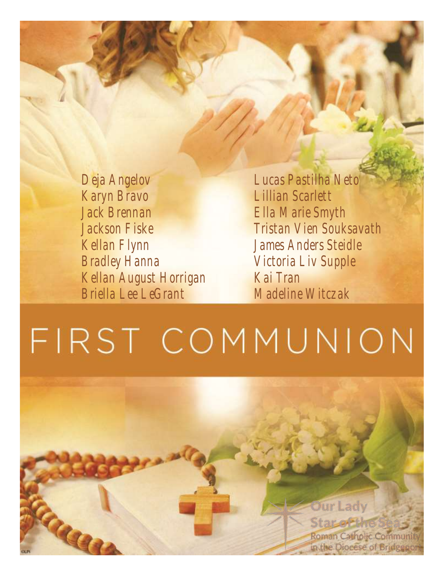*Deja Angelov Karyn Bravo Jack Brennan Jackson Fiske Kellan Flynn Bradley Hanna Kellan August Horrigan Briella Lee LeGrant*

*Lucas Pastilha Neto Lillian Scarlett Ella Marie Smyth Tristan Vien Souksavath James Anders Steidle Victoria Liv Supple Kai Tran Madeline Witczak*

# FIRST COMMUNION

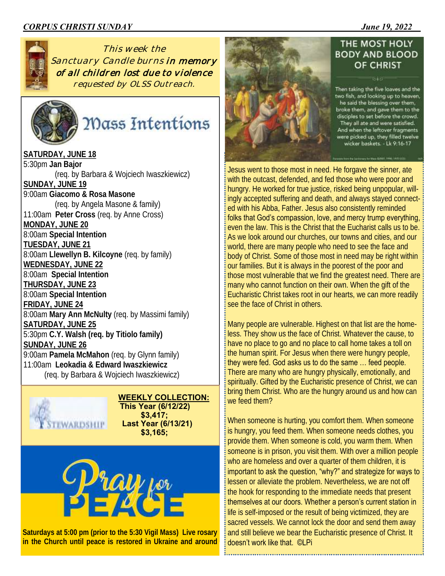#### *CORPUS CHRISTI SUNDAY \_\_\_\_\_\_\_\_\_\_\_\_\_\_\_\_\_\_\_\_June 19, 2022*



*This week the Sanctuary Candle burns in memory of all children lost due to violence requested by OLSS Outreach.*



Mass Intentions

**SATURDAY, JUNE 18** 5:30pm **Jan Bajor** (req. by Barbara & Wojciech Iwaszkiewicz) **SUNDAY, JUNE 19** 9:00am **Giacomo & Rosa Masone** (req. by Angela Masone & family) 11:00am **Peter Cross** (req. by Anne Cross) **MONDAY, JUNE 20** 8:00am **Special Intention TUESDAY, JUNE 21** 8:00am **Llewellyn B. Kilcoyne** (req. by family) **WEDNESDAY, JUNE 22** 8:00am **Special Intention THURSDAY, JUNE 23** 8:00am **Special Intention FRIDAY, JUNE 24** 8:00am **Mary Ann McNulty** (req. by Massimi family) **SATURDAY, JUNE 25** 5:30pm **C.Y. Walsh (req. by Titiolo family) SUNDAY, JUNE 26** 9:00am **Pamela McMahon** (req. by Glynn family) 11:00am **Leokadia & Edward Iwaszkiewicz** (req. by Barbara & Wojciech Iwaszkiewicz)



 **WEEKLY COLLECTION: This Year (6/12/22) \$3,417; Last Year (6/13/21) \$3,165;**



**Saturdays at 5:00 pm (prior to the 5:30 Vigil Mass) Live rosary in the Church until peace is restored in Ukraine and around** 



#### THE MOST HOLY **BODY AND BLOOD** OF CHRIST

Then taking the five loaves and the two fish, and looking up to heaven,<br>he said the blessing over them, broke them, and gave them to the disciples to set before the crowd. They all ate and were satisfied. And when the leftover fragments were picked up, they filled twelve wicker baskets. - Lk 9:16-17

Jesus went to those most in need. He forgave the sinner, ate with the outcast, defended, and fed those who were poor and hungry. He worked for true justice, risked being unpopular, willingly accepted suffering and death, and always stayed connected with his Abba, Father. Jesus also consistently reminded folks that God's compassion, love, and mercy trump everything, even the law. This is the Christ that the Eucharist calls us to be. As we look around our churches, our towns and cities, and our world, there are many people who need to see the face and body of Christ. Some of those most in need may be right within our families. But it is always in the poorest of the poor and those most vulnerable that we find the greatest need. There are many who cannot function on their own. When the gift of the Eucharistic Christ takes root in our hearts, we can more readily see the face of Christ in others.

Many people are vulnerable. Highest on that list are the homeless. They show us the face of Christ. Whatever the cause, to have no place to go and no place to call home takes a toll on the human spirit. For Jesus when there were hungry people, they were fed. God asks us to do the same … feed people. There are many who are hungry physically, emotionally, and spiritually. Gifted by the Eucharistic presence of Christ, we can bring them Christ. Who are the hungry around us and how can we feed them?

When someone is hurting, you comfort them. When someone is hungry, you feed them. When someone needs clothes, you provide them. When someone is cold, you warm them. When someone is in prison, you visit them. With over a million people who are homeless and over a quarter of them children, it is important to ask the question, "why?" and strategize for ways to lessen or alleviate the problem. Nevertheless, we are not off the hook for responding to the immediate needs that present themselves at our doors. Whether a person's current station in life is self-imposed or the result of being victimized, they are sacred vessels. We cannot lock the door and send them away and still believe we bear the Eucharistic presence of Christ. It doesn't work like that. ©LPi